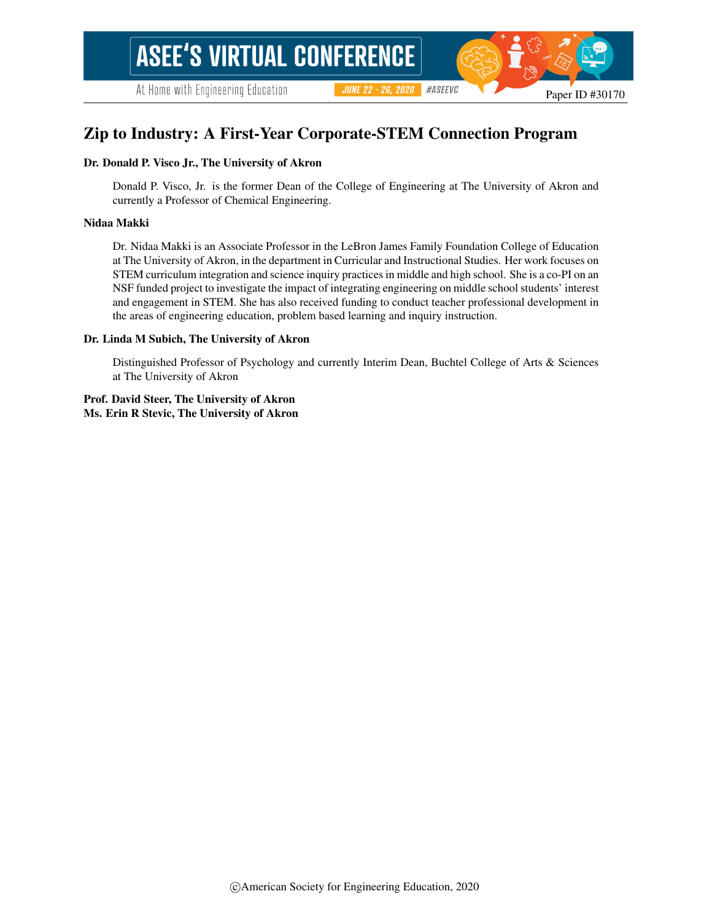# Zip to Industry: A First-Year Corporate-STEM Connection Program

#### Dr. Donald P. Visco Jr., The University of Akron

Donald P. Visco, Jr. is the former Dean of the College of Engineering at The University of Akron and currently a Professor of Chemical Engineering.

#### Nidaa Makki

Dr. Nidaa Makki is an Associate Professor in the LeBron James Family Foundation College of Education at The University of Akron, in the department in Curricular and Instructional Studies. Her work focuses on STEM curriculum integration and science inquiry practices in middle and high school. She is a co-PI on an NSF funded project to investigate the impact of integrating engineering on middle school students' interest and engagement in STEM. She has also received funding to conduct teacher professional development in the areas of engineering education, problem based learning and inquiry instruction.

#### Dr. Linda M Subich, The University of Akron

Distinguished Professor of Psychology and currently Interim Dean, Buchtel College of Arts & Sciences at The University of Akron

Prof. David Steer, The University of Akron Ms. Erin R Stevic, The University of Akron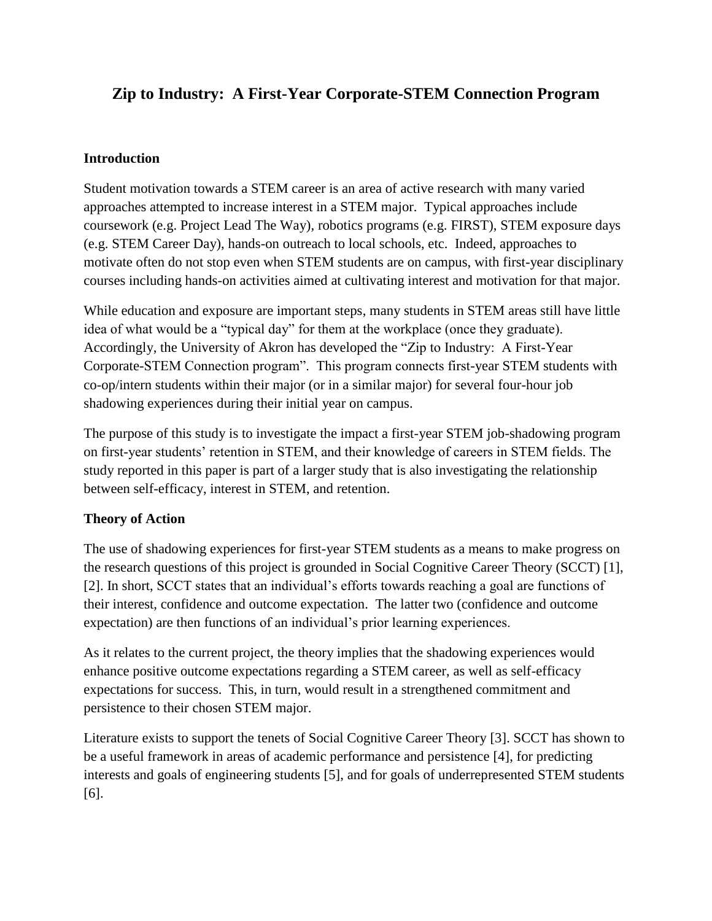# **Zip to Industry: A First-Year Corporate-STEM Connection Program**

### **Introduction**

Student motivation towards a STEM career is an area of active research with many varied approaches attempted to increase interest in a STEM major. Typical approaches include coursework (e.g. Project Lead The Way), robotics programs (e.g. FIRST), STEM exposure days (e.g. STEM Career Day), hands-on outreach to local schools, etc. Indeed, approaches to motivate often do not stop even when STEM students are on campus, with first-year disciplinary courses including hands-on activities aimed at cultivating interest and motivation for that major.

While education and exposure are important steps, many students in STEM areas still have little idea of what would be a "typical day" for them at the workplace (once they graduate). Accordingly, the University of Akron has developed the "Zip to Industry: A First-Year Corporate-STEM Connection program". This program connects first-year STEM students with co-op/intern students within their major (or in a similar major) for several four-hour job shadowing experiences during their initial year on campus.

The purpose of this study is to investigate the impact a first-year STEM job-shadowing program on first-year students' retention in STEM, and their knowledge of careers in STEM fields. The study reported in this paper is part of a larger study that is also investigating the relationship between self-efficacy, interest in STEM, and retention.

### **Theory of Action**

The use of shadowing experiences for first-year STEM students as a means to make progress on the research questions of this project is grounded in Social Cognitive Career Theory (SCCT) [1], [2]. In short, SCCT states that an individual's efforts towards reaching a goal are functions of their interest, confidence and outcome expectation. The latter two (confidence and outcome expectation) are then functions of an individual's prior learning experiences.

As it relates to the current project, the theory implies that the shadowing experiences would enhance positive outcome expectations regarding a STEM career, as well as self-efficacy expectations for success. This, in turn, would result in a strengthened commitment and persistence to their chosen STEM major.

Literature exists to support the tenets of Social Cognitive Career Theory [3]. SCCT has shown to be a useful framework in areas of academic performance and persistence [4], for predicting interests and goals of engineering students [5], and for goals of underrepresented STEM students [6].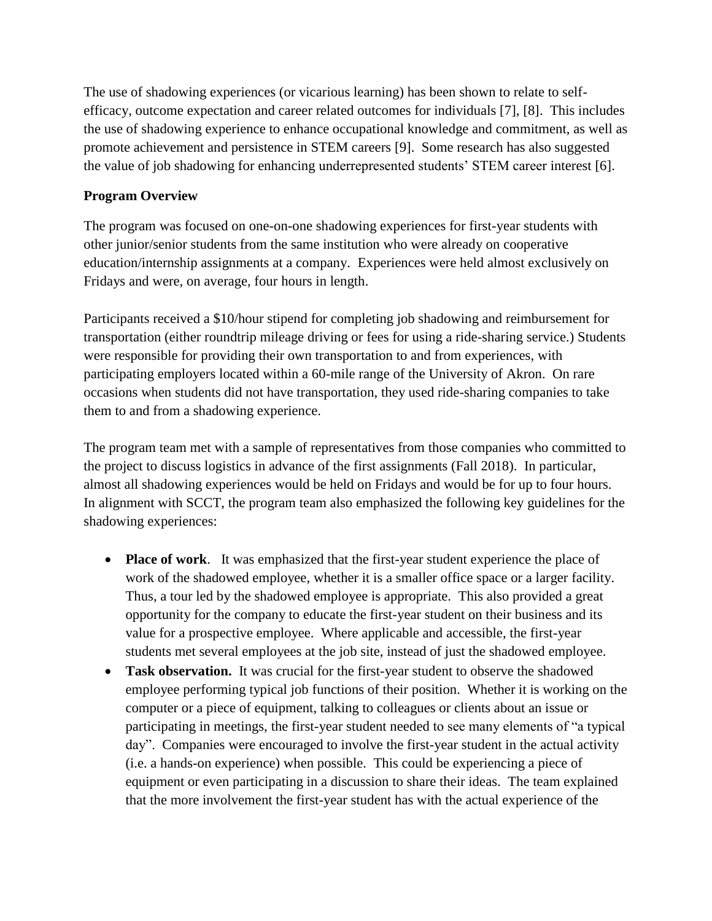The use of shadowing experiences (or vicarious learning) has been shown to relate to selfefficacy, outcome expectation and career related outcomes for individuals [7], [8]. This includes the use of shadowing experience to enhance occupational knowledge and commitment, as well as promote achievement and persistence in STEM careers [9]. Some research has also suggested the value of job shadowing for enhancing underrepresented students' STEM career interest [6].

### **Program Overview**

The program was focused on one-on-one shadowing experiences for first-year students with other junior/senior students from the same institution who were already on cooperative education/internship assignments at a company. Experiences were held almost exclusively on Fridays and were, on average, four hours in length.

Participants received a \$10/hour stipend for completing job shadowing and reimbursement for transportation (either roundtrip mileage driving or fees for using a ride-sharing service.) Students were responsible for providing their own transportation to and from experiences, with participating employers located within a 60-mile range of the University of Akron. On rare occasions when students did not have transportation, they used ride-sharing companies to take them to and from a shadowing experience.

The program team met with a sample of representatives from those companies who committed to the project to discuss logistics in advance of the first assignments (Fall 2018). In particular, almost all shadowing experiences would be held on Fridays and would be for up to four hours. In alignment with SCCT, the program team also emphasized the following key guidelines for the shadowing experiences:

- **Place of work**. It was emphasized that the first-year student experience the place of work of the shadowed employee, whether it is a smaller office space or a larger facility. Thus, a tour led by the shadowed employee is appropriate. This also provided a great opportunity for the company to educate the first-year student on their business and its value for a prospective employee. Where applicable and accessible, the first-year students met several employees at the job site, instead of just the shadowed employee.
- **Task observation.** It was crucial for the first-year student to observe the shadowed employee performing typical job functions of their position. Whether it is working on the computer or a piece of equipment, talking to colleagues or clients about an issue or participating in meetings, the first-year student needed to see many elements of "a typical day". Companies were encouraged to involve the first-year student in the actual activity (i.e. a hands-on experience) when possible. This could be experiencing a piece of equipment or even participating in a discussion to share their ideas. The team explained that the more involvement the first-year student has with the actual experience of the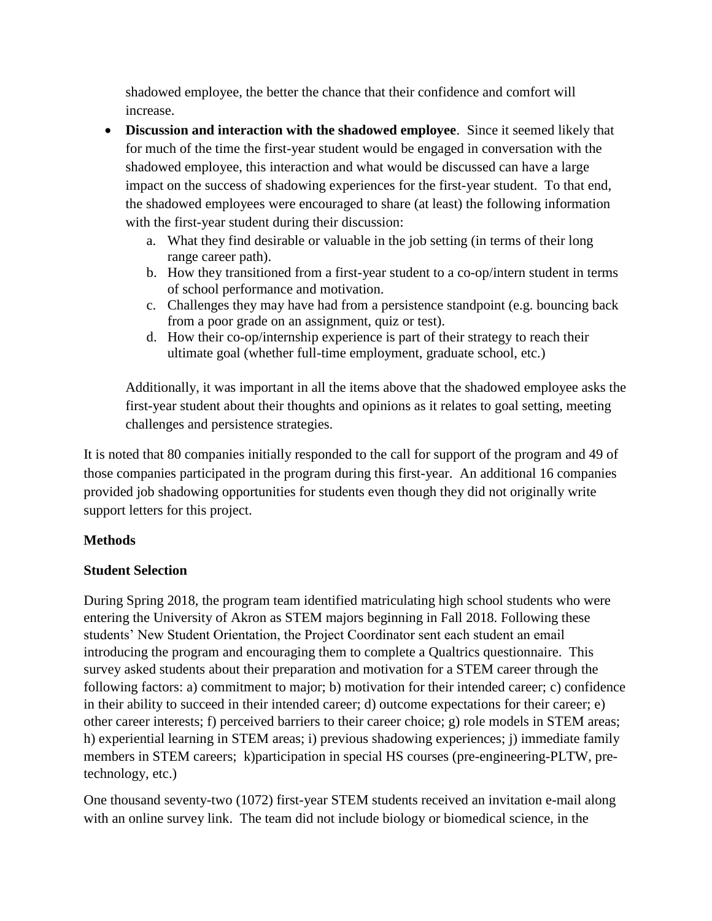shadowed employee, the better the chance that their confidence and comfort will increase.

- **Discussion and interaction with the shadowed employee**. Since it seemed likely that for much of the time the first-year student would be engaged in conversation with the shadowed employee, this interaction and what would be discussed can have a large impact on the success of shadowing experiences for the first-year student. To that end, the shadowed employees were encouraged to share (at least) the following information with the first-year student during their discussion:
	- a. What they find desirable or valuable in the job setting (in terms of their long range career path).
	- b. How they transitioned from a first-year student to a co-op/intern student in terms of school performance and motivation.
	- c. Challenges they may have had from a persistence standpoint (e.g. bouncing back from a poor grade on an assignment, quiz or test).
	- d. How their co-op/internship experience is part of their strategy to reach their ultimate goal (whether full-time employment, graduate school, etc.)

Additionally, it was important in all the items above that the shadowed employee asks the first-year student about their thoughts and opinions as it relates to goal setting, meeting challenges and persistence strategies.

It is noted that 80 companies initially responded to the call for support of the program and 49 of those companies participated in the program during this first-year. An additional 16 companies provided job shadowing opportunities for students even though they did not originally write support letters for this project.

# **Methods**

# **Student Selection**

During Spring 2018, the program team identified matriculating high school students who were entering the University of Akron as STEM majors beginning in Fall 2018. Following these students' New Student Orientation, the Project Coordinator sent each student an email introducing the program and encouraging them to complete a Qualtrics questionnaire. This survey asked students about their preparation and motivation for a STEM career through the following factors: a) commitment to major; b) motivation for their intended career; c) confidence in their ability to succeed in their intended career; d) outcome expectations for their career; e) other career interests; f) perceived barriers to their career choice; g) role models in STEM areas; h) experiential learning in STEM areas; i) previous shadowing experiences; j) immediate family members in STEM careers; k)participation in special HS courses (pre-engineering-PLTW, pretechnology, etc.)

One thousand seventy-two (1072) first-year STEM students received an invitation e-mail along with an online survey link. The team did not include biology or biomedical science, in the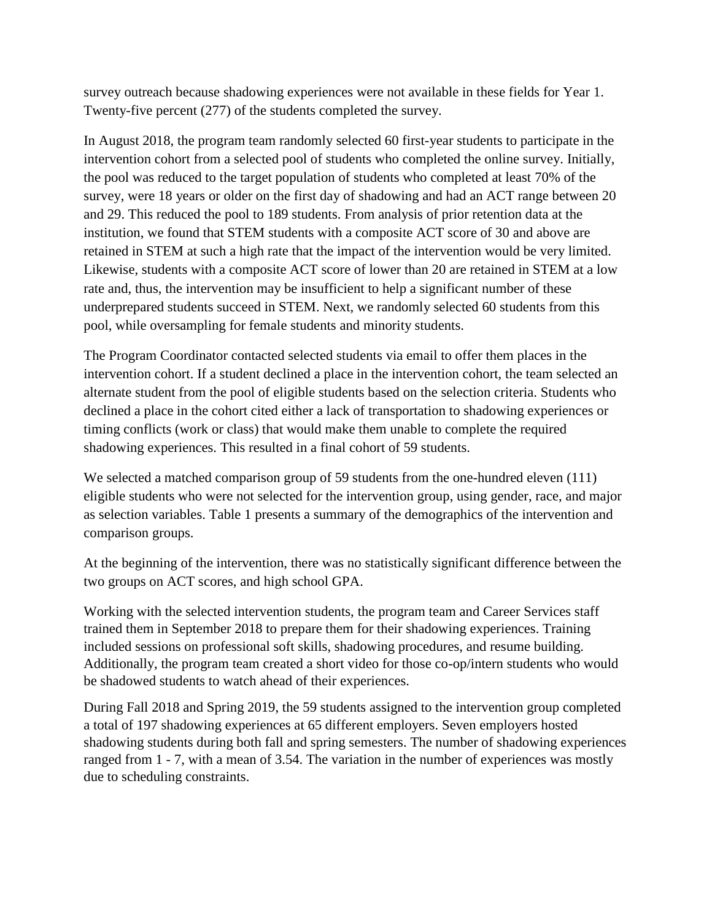survey outreach because shadowing experiences were not available in these fields for Year 1. Twenty-five percent (277) of the students completed the survey.

In August 2018, the program team randomly selected 60 first-year students to participate in the intervention cohort from a selected pool of students who completed the online survey. Initially, the pool was reduced to the target population of students who completed at least 70% of the survey, were 18 years or older on the first day of shadowing and had an ACT range between 20 and 29. This reduced the pool to 189 students. From analysis of prior retention data at the institution, we found that STEM students with a composite ACT score of 30 and above are retained in STEM at such a high rate that the impact of the intervention would be very limited. Likewise, students with a composite ACT score of lower than 20 are retained in STEM at a low rate and, thus, the intervention may be insufficient to help a significant number of these underprepared students succeed in STEM. Next, we randomly selected 60 students from this pool, while oversampling for female students and minority students.

The Program Coordinator contacted selected students via email to offer them places in the intervention cohort. If a student declined a place in the intervention cohort, the team selected an alternate student from the pool of eligible students based on the selection criteria. Students who declined a place in the cohort cited either a lack of transportation to shadowing experiences or timing conflicts (work or class) that would make them unable to complete the required shadowing experiences. This resulted in a final cohort of 59 students.

We selected a matched comparison group of 59 students from the one-hundred eleven (111) eligible students who were not selected for the intervention group, using gender, race, and major as selection variables. Table 1 presents a summary of the demographics of the intervention and comparison groups.

At the beginning of the intervention, there was no statistically significant difference between the two groups on ACT scores, and high school GPA.

Working with the selected intervention students, the program team and Career Services staff trained them in September 2018 to prepare them for their shadowing experiences. Training included sessions on professional soft skills, shadowing procedures, and resume building. Additionally, the program team created a short video for those co-op/intern students who would be shadowed students to watch ahead of their experiences.

During Fall 2018 and Spring 2019, the 59 students assigned to the intervention group completed a total of 197 shadowing experiences at 65 different employers. Seven employers hosted shadowing students during both fall and spring semesters. The number of shadowing experiences ranged from 1 - 7, with a mean of 3.54. The variation in the number of experiences was mostly due to scheduling constraints.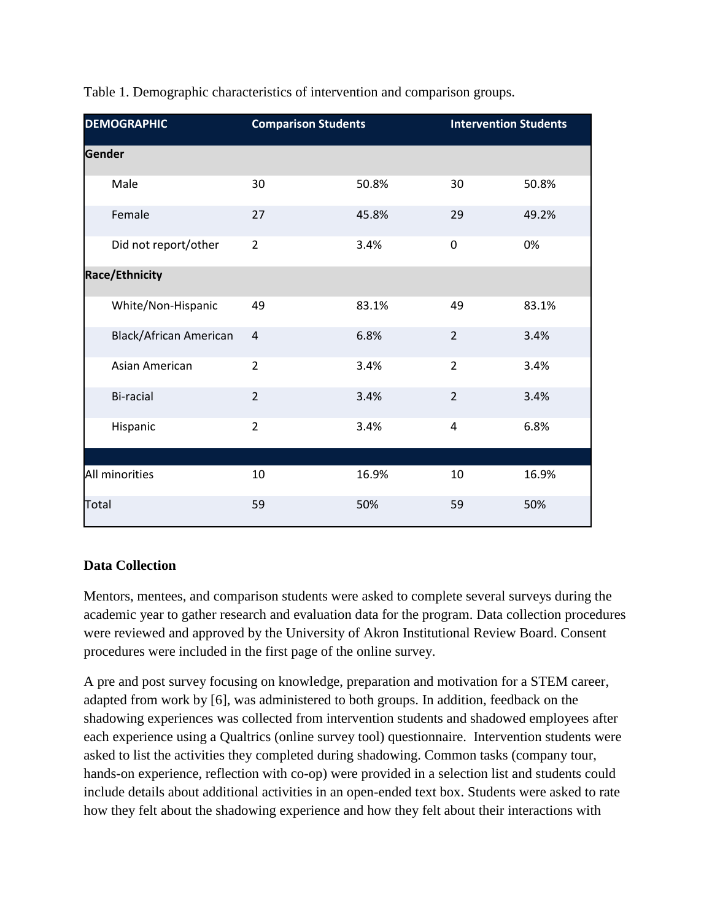| <b>DEMOGRAPHIC</b>            | <b>Comparison Students</b> |       | <b>Intervention Students</b> |       |
|-------------------------------|----------------------------|-------|------------------------------|-------|
| Gender                        |                            |       |                              |       |
| Male                          | 30                         | 50.8% | 30                           | 50.8% |
| Female                        | 27                         | 45.8% | 29                           | 49.2% |
| Did not report/other          | $\overline{2}$             | 3.4%  | 0                            | 0%    |
| <b>Race/Ethnicity</b>         |                            |       |                              |       |
| White/Non-Hispanic            | 49                         | 83.1% | 49                           | 83.1% |
| <b>Black/African American</b> | $\overline{4}$             | 6.8%  | $\overline{2}$               | 3.4%  |
| Asian American                | $\overline{2}$             | 3.4%  | $\overline{2}$               | 3.4%  |
| <b>Bi-racial</b>              | $\overline{2}$             | 3.4%  | $\overline{2}$               | 3.4%  |
| Hispanic                      | $\overline{2}$             | 3.4%  | 4                            | 6.8%  |
|                               |                            |       |                              |       |
| All minorities                | 10                         | 16.9% | 10                           | 16.9% |
| Total                         | 59                         | 50%   | 59                           | 50%   |

Table 1. Demographic characteristics of intervention and comparison groups.

# **Data Collection**

Mentors, mentees, and comparison students were asked to complete several surveys during the academic year to gather research and evaluation data for the program. Data collection procedures were reviewed and approved by the University of Akron Institutional Review Board. Consent procedures were included in the first page of the online survey.

A pre and post survey focusing on knowledge, preparation and motivation for a STEM career, adapted from work by [6], was administered to both groups. In addition, feedback on the shadowing experiences was collected from intervention students and shadowed employees after each experience using a Qualtrics (online survey tool) questionnaire. Intervention students were asked to list the activities they completed during shadowing. Common tasks (company tour, hands-on experience, reflection with co-op) were provided in a selection list and students could include details about additional activities in an open-ended text box. Students were asked to rate how they felt about the shadowing experience and how they felt about their interactions with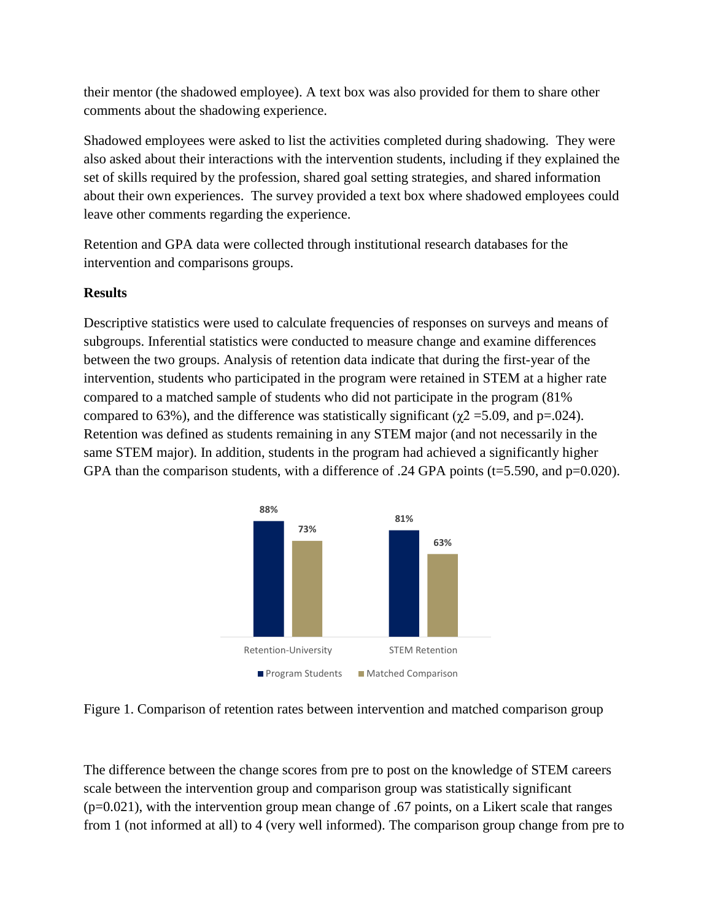their mentor (the shadowed employee). A text box was also provided for them to share other comments about the shadowing experience.

Shadowed employees were asked to list the activities completed during shadowing. They were also asked about their interactions with the intervention students, including if they explained the set of skills required by the profession, shared goal setting strategies, and shared information about their own experiences. The survey provided a text box where shadowed employees could leave other comments regarding the experience.

Retention and GPA data were collected through institutional research databases for the intervention and comparisons groups.

#### **Results**

Descriptive statistics were used to calculate frequencies of responses on surveys and means of subgroups. Inferential statistics were conducted to measure change and examine differences between the two groups. Analysis of retention data indicate that during the first-year of the intervention, students who participated in the program were retained in STEM at a higher rate compared to a matched sample of students who did not participate in the program (81% compared to 63%), and the difference was statistically significant ( $χ$ 2 = 5.09, and p=.024). Retention was defined as students remaining in any STEM major (and not necessarily in the same STEM major). In addition, students in the program had achieved a significantly higher GPA than the comparison students, with a difference of .24 GPA points (t=5.590, and p=0.020).



Figure 1. Comparison of retention rates between intervention and matched comparison group

The difference between the change scores from pre to post on the knowledge of STEM careers scale between the intervention group and comparison group was statistically significant  $(p=0.021)$ , with the intervention group mean change of .67 points, on a Likert scale that ranges from 1 (not informed at all) to 4 (very well informed). The comparison group change from pre to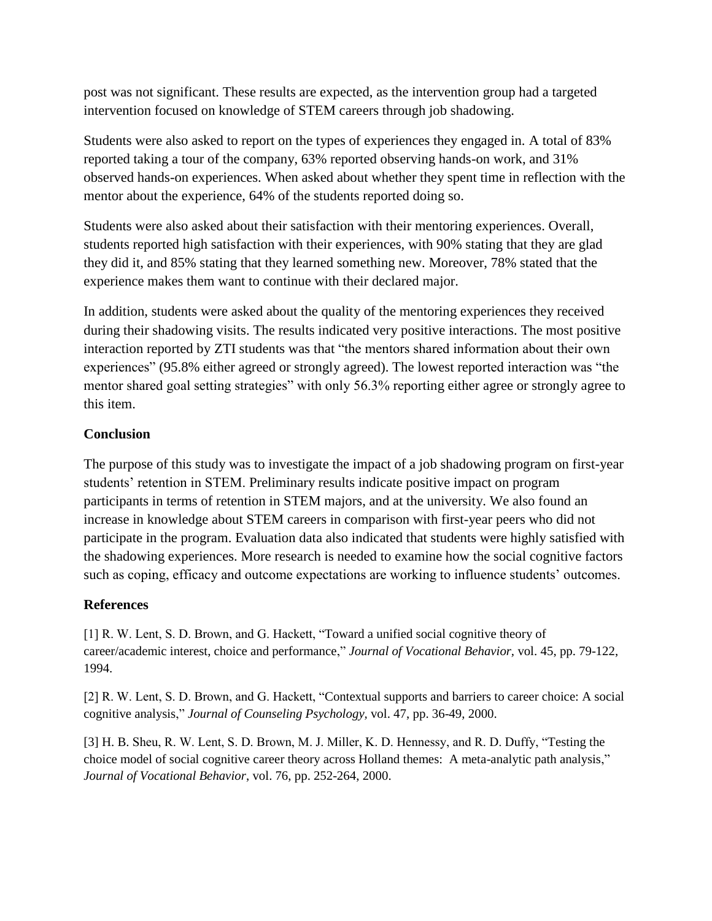post was not significant. These results are expected, as the intervention group had a targeted intervention focused on knowledge of STEM careers through job shadowing.

Students were also asked to report on the types of experiences they engaged in. A total of 83% reported taking a tour of the company, 63% reported observing hands-on work, and 31% observed hands-on experiences. When asked about whether they spent time in reflection with the mentor about the experience, 64% of the students reported doing so.

Students were also asked about their satisfaction with their mentoring experiences. Overall, students reported high satisfaction with their experiences, with 90% stating that they are glad they did it, and 85% stating that they learned something new. Moreover, 78% stated that the experience makes them want to continue with their declared major.

In addition, students were asked about the quality of the mentoring experiences they received during their shadowing visits. The results indicated very positive interactions. The most positive interaction reported by ZTI students was that "the mentors shared information about their own experiences" (95.8% either agreed or strongly agreed). The lowest reported interaction was "the mentor shared goal setting strategies" with only 56.3% reporting either agree or strongly agree to this item.

### **Conclusion**

The purpose of this study was to investigate the impact of a job shadowing program on first-year students' retention in STEM. Preliminary results indicate positive impact on program participants in terms of retention in STEM majors, and at the university. We also found an increase in knowledge about STEM careers in comparison with first-year peers who did not participate in the program. Evaluation data also indicated that students were highly satisfied with the shadowing experiences. More research is needed to examine how the social cognitive factors such as coping, efficacy and outcome expectations are working to influence students' outcomes.

### **References**

[1] R. W. Lent, S. D. Brown, and G. Hackett, "Toward a unified social cognitive theory of career/academic interest, choice and performance," *Journal of Vocational Behavior,* vol. 45, pp. 79-122, 1994.

[2] R. W. Lent, S. D. Brown, and G. Hackett, "Contextual supports and barriers to career choice: A social cognitive analysis," *Journal of Counseling Psychology,* vol. 47, pp. 36-49, 2000.

[3] H. B. Sheu, R. W. Lent, S. D. Brown, M. J. Miller, K. D. Hennessy, and R. D. Duffy, "Testing the choice model of social cognitive career theory across Holland themes: A meta-analytic path analysis," *Journal of Vocational Behavior*, vol. 76, pp. 252-264, 2000.